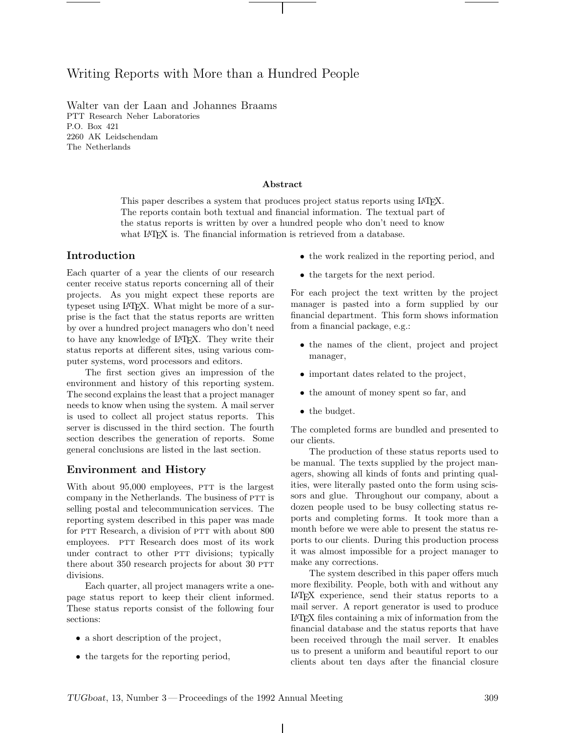# Writing Reports with More than a Hundred People

Walter van der Laan and Johannes Braams PTT Research Neher Laboratories P.O. Box 421 2260 AK Leidschendam The Netherlands

#### Abstract

This paper describes a system that produces project status reports using L<sup>A</sup>TEX. The reports contain both textual and financial information. The textual part of the status reports is written by over a hundred people who don't need to know what LAT<sub>E</sub>X is. The financial information is retrieved from a database.

#### Introduction

Each quarter of a year the clients of our research center receive status reports concerning all of their projects. As you might expect these reports are typeset using L<sup>A</sup>TEX. What might be more of a surprise is the fact that the status reports are written by over a hundred project managers who don't need to have any knowledge of L<sup>A</sup>TEX. They write their status reports at different sites, using various computer systems, word processors and editors.

The first section gives an impression of the environment and history of this reporting system. The second explains the least that a project manager needs to know when using the system. A mail server is used to collect all project status reports. This server is discussed in the third section. The fourth section describes the generation of reports. Some general conclusions are listed in the last section.

## Environment and History

With about 95,000 employees, PTT is the largest company in the Netherlands. The business of PTT is selling postal and telecommunication services. The reporting system described in this paper was made for PTT Research, a division of PTT with about 800 employees. PTT Research does most of its work under contract to other PTT divisions; typically there about  $350$  research projects for about  $30$  PTT divisions.

Each quarter, all project managers write a onepage status report to keep their client informed. These status reports consist of the following four sections:

- a short description of the project,
- the targets for the reporting period,
- the work realized in the reporting period, and
- the targets for the next period.

For each project the text written by the project manager is pasted into a form supplied by our financial department. This form shows information from a financial package, e.g.:

- the names of the client, project and project manager,
- important dates related to the project,
- the amount of money spent so far, and
- the budget.

The completed forms are bundled and presented to our clients.

The production of these status reports used to be manual. The texts supplied by the project managers, showing all kinds of fonts and printing qualities, were literally pasted onto the form using scissors and glue. Throughout our company, about a dozen people used to be busy collecting status reports and completing forms. It took more than a month before we were able to present the status reports to our clients. During this production process it was almost impossible for a project manager to make any corrections.

The system described in this paper offers much more flexibility. People, both with and without any L<sup>A</sup>TEX experience, send their status reports to a mail server. A report generator is used to produce L<sup>A</sup>TEX files containing a mix of information from the financial database and the status reports that have been received through the mail server. It enables us to present a uniform and beautiful report to our clients about ten days after the financial closure

 $\mathbf{I}$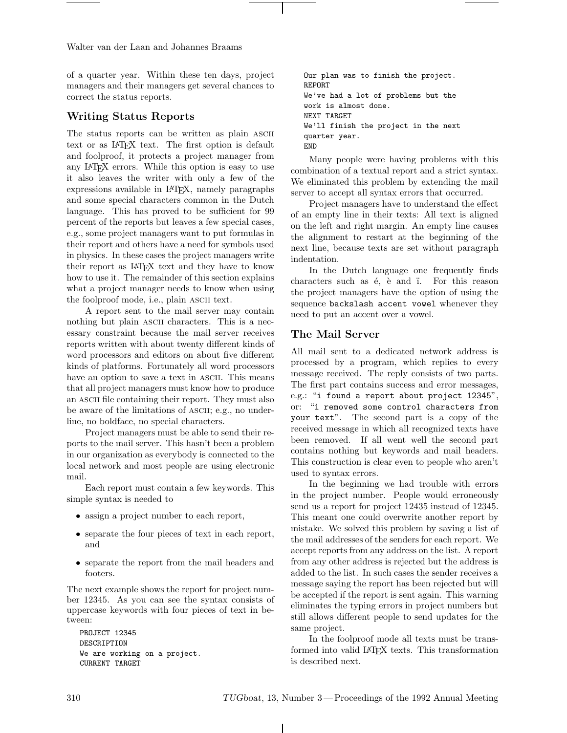Walter van der Laan and Johannes Braams

of a quarter year. Within these ten days, project managers and their managers get several chances to correct the status reports.

## Writing Status Reports

The status reports can be written as plain ascii text or as IAT<sub>F</sub>X text. The first option is default and foolproof, it protects a project manager from any L<sup>A</sup>TEX errors. While this option is easy to use it also leaves the writer with only a few of the expressions available in L<sup>A</sup>TEX, namely paragraphs and some special characters common in the Dutch language. This has proved to be sufficient for 99 percent of the reports but leaves a few special cases, e.g., some project managers want to put formulas in their report and others have a need for symbols used in physics. In these cases the project managers write their report as L<sup>A</sup>TEX text and they have to know how to use it. The remainder of this section explains what a project manager needs to know when using the foolproof mode, i.e., plain ascii text.

A report sent to the mail server may contain nothing but plain ASCII characters. This is a necessary constraint because the mail server receives reports written with about twenty different kinds of word processors and editors on about five different kinds of platforms. Fortunately all word processors have an option to save a text in ASCII. This means that all project managers must know how to produce an ascii file containing their report. They must also be aware of the limitations of ASCII; e.g., no underline, no boldface, no special characters.

Project managers must be able to send their reports to the mail server. This hasn't been a problem in our organization as everybody is connected to the local network and most people are using electronic mail.

Each report must contain a few keywords. This simple syntax is needed to

- assign a project number to each report,
- separate the four pieces of text in each report, and
- separate the report from the mail headers and footers.

The next example shows the report for project number 12345. As you can see the syntax consists of uppercase keywords with four pieces of text in between:

```
PROJECT 12345
DESCRIPTION
We are working on a project.
CURRENT TARGET
```
Our plan was to finish the project. REPORT We've had a lot of problems but the work is almost done. NEXT TARGET We'll finish the project in the next quarter year. END

Many people were having problems with this combination of a textual report and a strict syntax. We eliminated this problem by extending the mail server to accept all syntax errors that occurred.

Project managers have to understand the effect of an empty line in their texts: All text is aligned on the left and right margin. An empty line causes the alignment to restart at the beginning of the next line, because texts are set without paragraph indentation.

In the Dutch language one frequently finds characters such as  $\acute{e}$ ,  $\grave{e}$  and  $\ddot{i}$ . For this reason the project managers have the option of using the sequence backslash accent vowel whenever they need to put an accent over a vowel.

## The Mail Server

All mail sent to a dedicated network address is processed by a program, which replies to every message received. The reply consists of two parts. The first part contains success and error messages, e.g.: "i found a report about project 12345", or: "i removed some control characters from your text". The second part is a copy of the received message in which all recognized texts have been removed. If all went well the second part contains nothing but keywords and mail headers. This construction is clear even to people who aren't used to syntax errors.

In the beginning we had trouble with errors in the project number. People would erroneously send us a report for project 12435 instead of 12345. This meant one could overwrite another report by mistake. We solved this problem by saving a list of the mail addresses of the senders for each report. We accept reports from any address on the list. A report from any other address is rejected but the address is added to the list. In such cases the sender receives a message saying the report has been rejected but will be accepted if the report is sent again. This warning eliminates the typing errors in project numbers but still allows different people to send updates for the same project.

In the foolproof mode all texts must be transformed into valid L<sup>A</sup>TEX texts. This transformation is described next.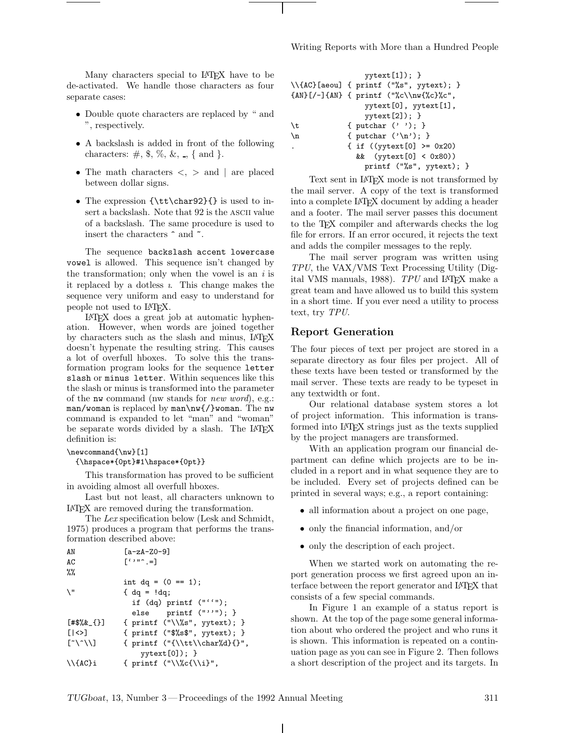Many characters special to L<sup>A</sup>TEX have to be de-activated. We handle those characters as four separate cases:

- Double quote characters are replaced by " and ", respectively.
- A backslash is added in front of the following characters:  $\#$ ,  $\frac{1}{2}$ ,  $\frac{1}{2}$ ,  $\frac{1}{2}$ ,  $\frac{1}{2}$ ,  $\frac{1}{2}$ ,  $\frac{1}{2}$ ,  $\frac{1}{2}$ ,  $\frac{1}{2}$ ,  $\frac{1}{2}$ ,  $\frac{1}{2}$ ,  $\frac{1}{2}$ ,  $\frac{1}{2}$ ,  $\frac{1}{2}$ ,  $\frac{1}{2}$ ,  $\frac{1}{2}$ ,  $\frac{1}{2}$ ,  $\frac{1}{2}$ ,  $\frac{1}{2}$ ,  $\frac{1$
- The math characters  $\langle , \rangle$  and | are placed between dollar signs.
- The expression  ${\t{t\char92}}$  is used to insert a backslash. Note that 92 is the ascii value of a backslash. The same procedure is used to insert the characters  $\hat{\ }$  and  $\hat{\ }$ .

The sequence backslash accent lowercase vowel is allowed. This sequence isn't changed by the transformation; only when the vowel is an  $i$  is it replaced by a dotless  $\iota$ . This change makes the sequence very uniform and easy to understand for people not used to L<sup>A</sup>TEX.

L<sup>A</sup>TEX does a great job at automatic hyphenation. However, when words are joined together by characters such as the slash and minus, L<sup>A</sup>TEX doesn't hypenate the resulting string. This causes a lot of overfull hboxes. To solve this the transformation program looks for the sequence letter slash or minus letter. Within sequences like this the slash or minus is transformed into the parameter of the nw command (nw stands for new word), e.g.: man/woman is replaced by man\nw{/}woman. The nw command is expanded to let "man" and "woman" be separate words divided by a slash. The LAT<sub>EX</sub> definition is:

#### \newcommand{\nw}[1]

{\hspace\*{0pt}#1\hspace\*{0pt}}

This transformation has proved to be sufficient in avoiding almost all overfull hboxes.

Last but not least, all characters unknown to L<sup>A</sup>TEX are removed during the transformation.

The Lex specification below (Lesk and Schmidt, 1975) produces a program that performs the transformation described above:

| AN                                                          | $[a-zA-ZO-9]$                       |
|-------------------------------------------------------------|-------------------------------------|
| AC                                                          | $\lceil$ $\cdots$ = $\rceil$        |
| $\%$ %                                                      |                                     |
|                                                             | int $dq = (0 == 1);$                |
| $\setminus$ "                                               | { $dq =   dq$ ;                     |
|                                                             | if $(dq)$ printf $("''")$ ;         |
|                                                             | else $print (""")$ ; }              |
| $[43%2 - 1]$                                                | { printf $("\\%s", yytext);$ }      |
| $\lceil  \diamond\rangle$                                   | ${$ printf $("$$$ ;, yytext); $}$   |
| $\lceil \tilde{\ }}\rangle \cap \setminus \setminus \rceil$ | { printf $("{\\\\tt\\char\{d}{\}",$ |
|                                                             | $yytext[0]);$ }                     |
| $\setminus$ {AC}i                                           | { printf $(\sqrt{C_{\iota}})^n$ ,   |

|       | $yytext[1]);$ }                               |
|-------|-----------------------------------------------|
|       | \\{AC}[aeou] { printf ("%s", yytext); }       |
|       | ${AN} [/-] {AN} { printf ("%c\\nw{%c}%c",$    |
|       | $\gamma$ ytext $[0]$ , $\gamma$ ytext $[1]$ , |
|       | $yytext[2]);$ }                               |
| \t    | { putchar $('')$ ; }                          |
| $\ln$ | { putchar $(\n\lambda n')$ ; }                |
|       | { if $((\text{yntext}[0] > = 0x20))$          |
|       | && (yytext[0] < 0x80))                        |
|       | printf $("%s", yytext);$                      |

Text sent in L<sup>A</sup>TEX mode is not transformed by the mail server. A copy of the text is transformed intoacomplete L<sup>A</sup>TEX document by adding a header and a footer. The mail server passes this document to the TEX compiler and afterwards checks the log file for errors. If an error occured, it rejects the text and adds the compiler messages to the reply.

The mail server program was written using TPU, the VAX/VMS Text Processing Utility (Digital VMS manuals, 1988). TPU and L<sup>A</sup>TEX make a great team and have allowed us to build this system in a short time. If you ever need a utility to process text, try TPU.

#### Report Generation

The four pieces of text per project are stored in a separate directory as four files per project. All of these texts have been tested or transformed by the mail server. These texts are ready to be typeset in any textwidth or font.

Our relational database system stores a lot of project information. This information is transformed into L<sup>A</sup>TEX strings just as the texts supplied by the project managers are transformed.

With an application program our financial department can define which projects are to be included in a report and in what sequence they are to be included. Every set of projects defined can be printed in several ways; e.g., a report containing:

- all information about a project on one page,
- only the financial information, and/or
- only the description of each project.

When we started work on automating the report generation process we first agreed upon an interface between the report generator and LAT<sub>EX</sub> that consists of a few special commands.

In Figure 1 an example of a status report is shown. At the top of the page some general information about who ordered the project and who runs it is shown. This information is repeated on a continuation page as you can see in Figure 2. Then follows a short description of the project and its targets. In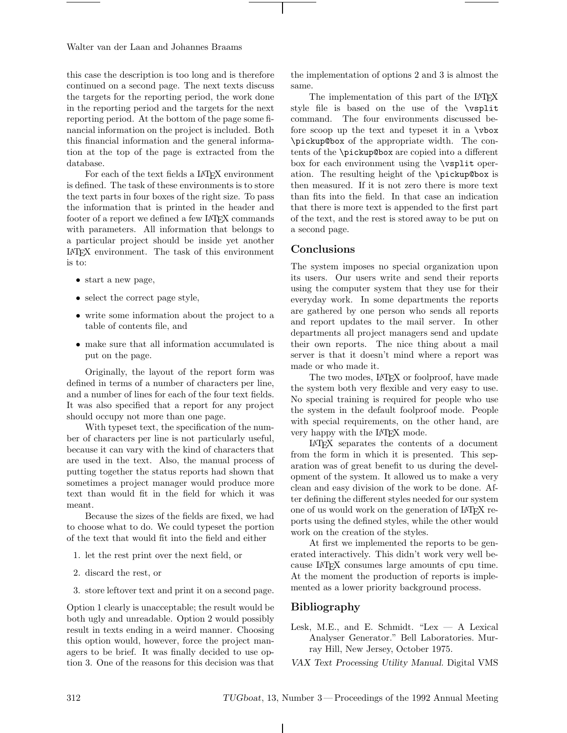Walter van der Laan and Johannes Braams

this case the description is too long and is therefore continued on a second page. The next texts discuss the targets for the reporting period, the work done in the reporting period and the targets for the next reporting period. At the bottom of the page some financial information on the project is included. Both this financial information and the general information at the top of the page is extracted from the database.

For each of the text fields a LAT<sub>F</sub>X environment is defined. The task of these environments is to store the text parts in four boxes of the right size. To pass the information that is printed in the header and footer of a report we defined a few IAT<sub>EX</sub> commands with parameters. All information that belongs to a particular project should be inside yet another L<sup>A</sup>TEX environment. The task of this environment is to:

- start a new page,
- select the correct page style,
- write some information about the project to a table of contents file, and
- make sure that all information accumulated is put on the page.

Originally, the layout of the report form was defined in terms of a number of characters per line, and a number of lines for each of the four text fields. It was also specified that a report for any project should occupy not more than one page.

With typeset text, the specification of the number of characters per line is not particularly useful, because it can vary with the kind of characters that are used in the text. Also, the manual process of putting together the status reports had shown that sometimes a project manager would produce more text than would fit in the field for which it was meant.

Because the sizes of the fields are fixed, we had to choose what to do. We could typeset the portion of the text that would fit into the field and either

- 1. let the rest print over the next field, or
- 2. discard the rest, or
- 3. store leftover text and print it on a second page.

Option 1 clearly is unacceptable; the result would be both ugly and unreadable. Option 2 would possibly result in texts ending in a weird manner. Choosing this option would, however, force the project managers to be brief. It was finally decided to use option 3. One of the reasons for this decision was that the implementation of options 2 and 3 is almost the same.

The implementation of this part of the LAT<sub>EX</sub> style file is based on the use of the \vsplit command. The four environments discussed before scoop up the text and typeset it in a \vbox \pickup@box of the appropriate width. The contents of the \pickup@box are copied into a different box for each environment using the \vsplit operation. The resulting height of the \pickup@box is then measured. If it is not zero there is more text than fits into the field. In that case an indication that there is more text is appended to the first part of the text, and the rest is stored away to be put on a second page.

## Conclusions

The system imposes no special organization upon its users. Our users write and send their reports using the computer system that they use for their everyday work. In some departments the reports are gathered by one person who sends all reports and report updates to the mail server. In other departments all project managers send and update their own reports. The nice thing about a mail server is that it doesn't mind where a report was made or who made it.

The two modes, L<sup>A</sup>TEX or foolproof, have made the system both very flexible and very easy to use. No special training is required for people who use the system in the default foolproof mode. People with special requirements, on the other hand, are very happy with the L<sup>A</sup>TEX mode.

L<sup>A</sup>TEX separates the contents of a document from the form in which it is presented. This separation was of great benefit to us during the development of the system. It allowed us to make a very clean and easy division of the work to be done. After defining the different styles needed for our system one of us would work on the generation of LAT<sub>EX</sub> reports using the defined styles, while the other would work on the creation of the styles.

At first we implemented the reports to be generated interactively. This didn't work very well because L<sup>A</sup>TEX consumes large amounts of cpu time. At the moment the production of reports is implemented as a lower priority background process.

## Bibliography

Lesk, M.E., and E. Schmidt. "Lex  $-$  A Lexical Analyser Generator." Bell Laboratories. Murray Hill, New Jersey, October 1975.

VAX Text Processing Utility Manual. Digital VMS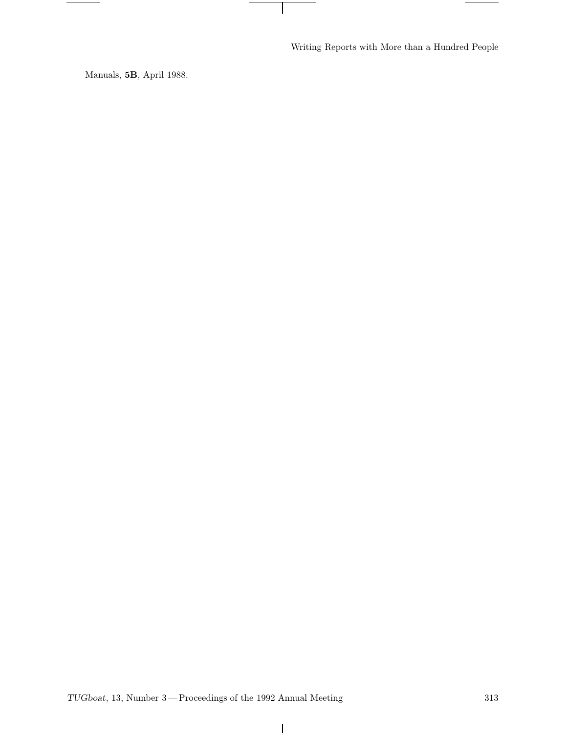Writing Reports with More than a Hundred People

 $\vert$ 

٠

Manuals, 5B, April 1988.

 $\overline{\phantom{0}}$ 

 $\mathbf{I}$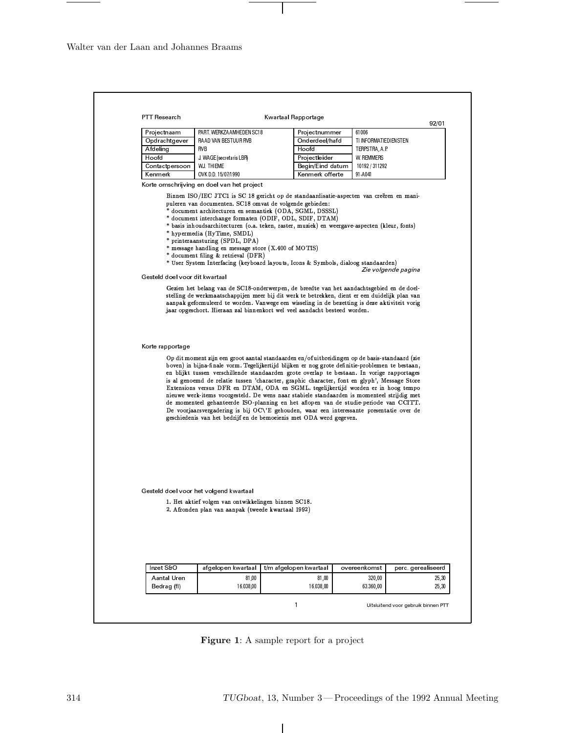Walter van der Laan and Johannes Braams

| <b>PTT Research</b>               |                                                                                                                                                               | Kwartaal Rapportage                                                                                                                                                                                                                                                                                                                                                                                                                                                                                                                                                                                                                                                                                                                                                                                                                             |                       | 92/01                               |
|-----------------------------------|---------------------------------------------------------------------------------------------------------------------------------------------------------------|-------------------------------------------------------------------------------------------------------------------------------------------------------------------------------------------------------------------------------------------------------------------------------------------------------------------------------------------------------------------------------------------------------------------------------------------------------------------------------------------------------------------------------------------------------------------------------------------------------------------------------------------------------------------------------------------------------------------------------------------------------------------------------------------------------------------------------------------------|-----------------------|-------------------------------------|
| Projectnaam                       | PART. WERKZAAMHEDEN SC18                                                                                                                                      | Projectnummer                                                                                                                                                                                                                                                                                                                                                                                                                                                                                                                                                                                                                                                                                                                                                                                                                                   | 61006                 |                                     |
| Opdrachtgever                     | RAAD VAN BESTUUR RVB                                                                                                                                          | Onderdeel/hafd                                                                                                                                                                                                                                                                                                                                                                                                                                                                                                                                                                                                                                                                                                                                                                                                                                  | TI INFORMATIEDIENSTEN |                                     |
| Afdeling                          | RVB                                                                                                                                                           | Hoofd                                                                                                                                                                                                                                                                                                                                                                                                                                                                                                                                                                                                                                                                                                                                                                                                                                           | TERPSTRA, A.P.        |                                     |
| Hoofd                             | J. WAGE (secretaris LBR)                                                                                                                                      | Projectleider                                                                                                                                                                                                                                                                                                                                                                                                                                                                                                                                                                                                                                                                                                                                                                                                                                   | W. REMMERS            |                                     |
| Contactpersoon                    | W.J. THIEME                                                                                                                                                   | Begin/Eind datum                                                                                                                                                                                                                                                                                                                                                                                                                                                                                                                                                                                                                                                                                                                                                                                                                                | 10192 / 311292        |                                     |
| Kenmerk                           | OVK D.D. 15/07/1990                                                                                                                                           | Kenmerk offerte                                                                                                                                                                                                                                                                                                                                                                                                                                                                                                                                                                                                                                                                                                                                                                                                                                 | 91 A041               |                                     |
|                                   | Korte omschrijving en doel van het project                                                                                                                    |                                                                                                                                                                                                                                                                                                                                                                                                                                                                                                                                                                                                                                                                                                                                                                                                                                                 |                       |                                     |
| Gesteld doel voor dit kwartaal    | * hypermedia (HyTime, SMDL)<br>* printeraansturing (SPDL, DPA)<br>* message handling en message store (X.400 of MOTIS)<br>* document filing & retrieval (DFR) | Binnen ISO/IEC JTC1 is SC 18 gericht op de standaardisatie-aspecten van creëren en mani-<br>puleren van documenten. SC18 omvat de volgende gebieden:<br>* document architecturen en semantiek (ODA, SGML, DSSSL)<br>* document interchange formaten (ODIF, ODL, SDIF, DTAM)<br>* basis inhoudsarchitecturen (o.a. teken, raster, muziek) en weergave-aspecten (kleur, fonts)<br>* User System Interfacing (keyboard layouts, Icons & Symbols, dialoog standaarden)<br>Gezien het belang van de SC18-onderwerpen, de breedte van het aandachtsgebied en de doel-<br>stelling de werkmaatschappijen meer bij dit werk te betrekken, dient er een duidelijk plan van<br>aanpak geformuleerd te worden. Vanwege een wisseling in de bezetting is deze aktiviteit vorig<br>jaar opgeschort. Hieraan zal binnenkort wel veel aandacht besteed worden. |                       | Zie volgende pagina                 |
| Korte rapportage                  |                                                                                                                                                               | Op dit moment zijn een groot aantal standaarden en/of uitbreidingen op de basis-standaard (zie                                                                                                                                                                                                                                                                                                                                                                                                                                                                                                                                                                                                                                                                                                                                                  |                       |                                     |
|                                   |                                                                                                                                                               | boven) in bijna-finale vorm. Tegelijkertijd blijken er nog grote definitie-problemen te bestaan,<br>en blijkt tussen verschillende standaarden grote overlap te bestaan. In vorige rapportages<br>is al genoemd de relatie tussen 'character, graphic character, font en glyph', Message Store<br>Extensions versus DFR en DTAM, ODA en SGML. tegelijkertijd worden er in hoog tempo<br>nieuwe werk-items voorgesteld. De wens naar stabiele standaarden is momenteel strijdig met<br>de momenteel gehanteerde ISO-planning en het aflopen van de studie-periode van CCITT.<br>De voorjaarsvergadering is bij OC\'E gehouden, waar een interessante presentatie over de<br>geschiedenis van het bedrijf en de bemoeienis met ODA werd gegeven.                                                                                                  |                       |                                     |
|                                   | Gesteld doel voor het volgend kwartaal<br>1. Het aktief volgen van ontwikkelingen binnen SC18.<br>2. Afronden plan van aanpak (tweede kwartaal 1992)          |                                                                                                                                                                                                                                                                                                                                                                                                                                                                                                                                                                                                                                                                                                                                                                                                                                                 |                       |                                     |
|                                   |                                                                                                                                                               |                                                                                                                                                                                                                                                                                                                                                                                                                                                                                                                                                                                                                                                                                                                                                                                                                                                 |                       |                                     |
| Inzet S&O                         | afgelopen kwartaal                                                                                                                                            | t/m afgelopen kwartaal                                                                                                                                                                                                                                                                                                                                                                                                                                                                                                                                                                                                                                                                                                                                                                                                                          | overeenkomst          |                                     |
| <b>Aantal Uren</b><br>Bedrag (fl) | 81,00<br>16.038,00                                                                                                                                            | 81,00<br>16.038,00                                                                                                                                                                                                                                                                                                                                                                                                                                                                                                                                                                                                                                                                                                                                                                                                                              | 320,00<br>63.360,00   | perc gerealiseerd<br>25,30<br>25,30 |

 $\mathbf{I}$ 

 $\mathbf{Figure}$  1: A sample report for a project

 $\overline{\phantom{a}}$